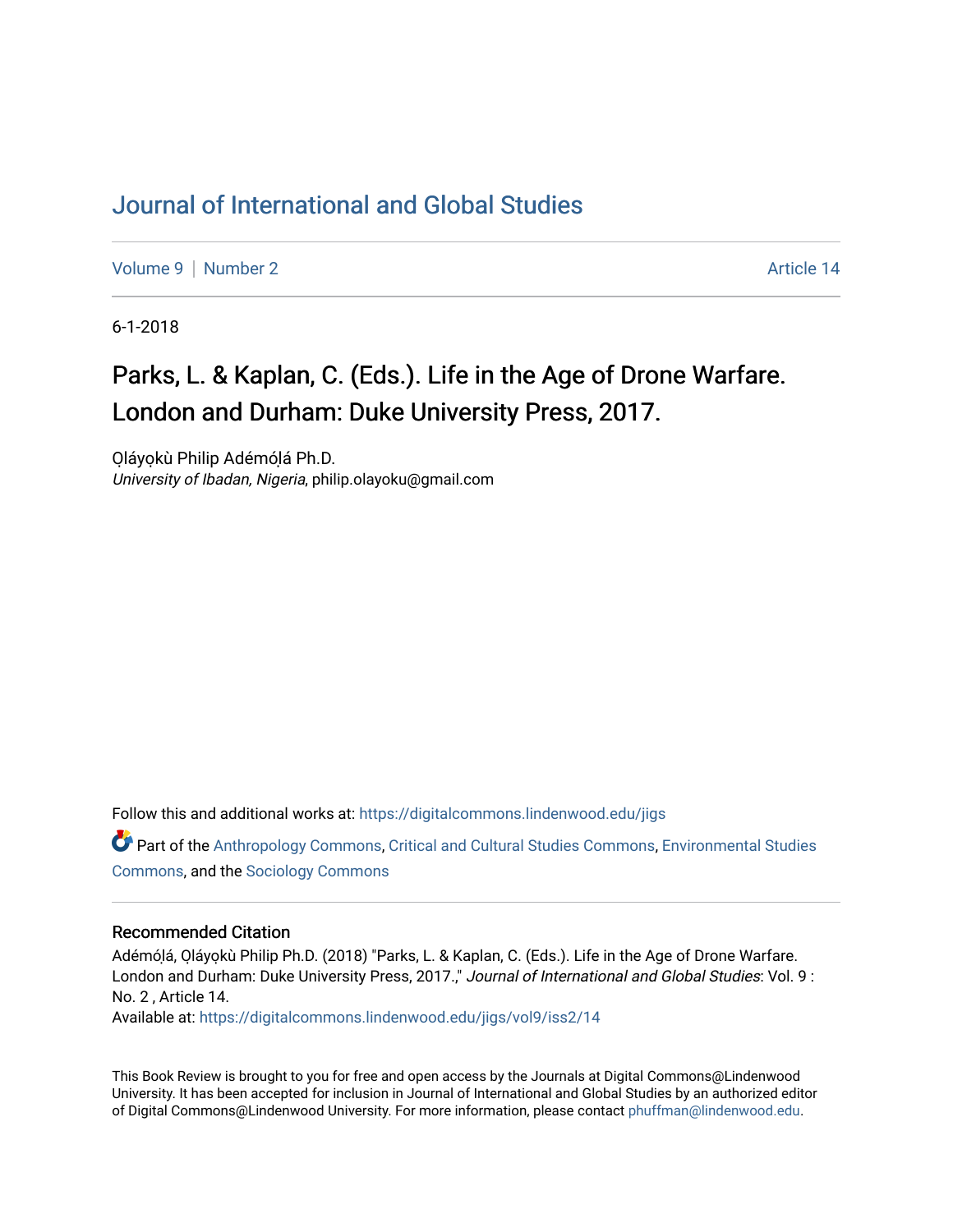## [Journal of International and Global Studies](https://digitalcommons.lindenwood.edu/jigs)

[Volume 9](https://digitalcommons.lindenwood.edu/jigs/vol9) | [Number 2](https://digitalcommons.lindenwood.edu/jigs/vol9/iss2) Article 14

6-1-2018

# Parks, L. & Kaplan, C. (Eds.). Life in the Age of Drone Warfare. London and Durham: Duke University Press, 2017.

Oláyokù Philip Adémólá Ph.D. University of Ibadan, Nigeria, philip.olayoku@gmail.com

Follow this and additional works at: [https://digitalcommons.lindenwood.edu/jigs](https://digitalcommons.lindenwood.edu/jigs?utm_source=digitalcommons.lindenwood.edu%2Fjigs%2Fvol9%2Fiss2%2F14&utm_medium=PDF&utm_campaign=PDFCoverPages) 

Part of the [Anthropology Commons](http://network.bepress.com/hgg/discipline/318?utm_source=digitalcommons.lindenwood.edu%2Fjigs%2Fvol9%2Fiss2%2F14&utm_medium=PDF&utm_campaign=PDFCoverPages), [Critical and Cultural Studies Commons](http://network.bepress.com/hgg/discipline/328?utm_source=digitalcommons.lindenwood.edu%2Fjigs%2Fvol9%2Fiss2%2F14&utm_medium=PDF&utm_campaign=PDFCoverPages), [Environmental Studies](http://network.bepress.com/hgg/discipline/1333?utm_source=digitalcommons.lindenwood.edu%2Fjigs%2Fvol9%2Fiss2%2F14&utm_medium=PDF&utm_campaign=PDFCoverPages)  [Commons](http://network.bepress.com/hgg/discipline/1333?utm_source=digitalcommons.lindenwood.edu%2Fjigs%2Fvol9%2Fiss2%2F14&utm_medium=PDF&utm_campaign=PDFCoverPages), and the [Sociology Commons](http://network.bepress.com/hgg/discipline/416?utm_source=digitalcommons.lindenwood.edu%2Fjigs%2Fvol9%2Fiss2%2F14&utm_medium=PDF&utm_campaign=PDFCoverPages)

#### Recommended Citation

Adémólá, Oláyokù Philip Ph.D. (2018) "Parks, L. & Kaplan, C. (Eds.). Life in the Age of Drone Warfare. London and Durham: Duke University Press, 2017.," Journal of International and Global Studies: Vol. 9: No. 2 , Article 14.

Available at: [https://digitalcommons.lindenwood.edu/jigs/vol9/iss2/14](https://digitalcommons.lindenwood.edu/jigs/vol9/iss2/14?utm_source=digitalcommons.lindenwood.edu%2Fjigs%2Fvol9%2Fiss2%2F14&utm_medium=PDF&utm_campaign=PDFCoverPages) 

This Book Review is brought to you for free and open access by the Journals at Digital Commons@Lindenwood University. It has been accepted for inclusion in Journal of International and Global Studies by an authorized editor of Digital Commons@Lindenwood University. For more information, please contact [phuffman@lindenwood.edu](mailto:phuffman@lindenwood.edu).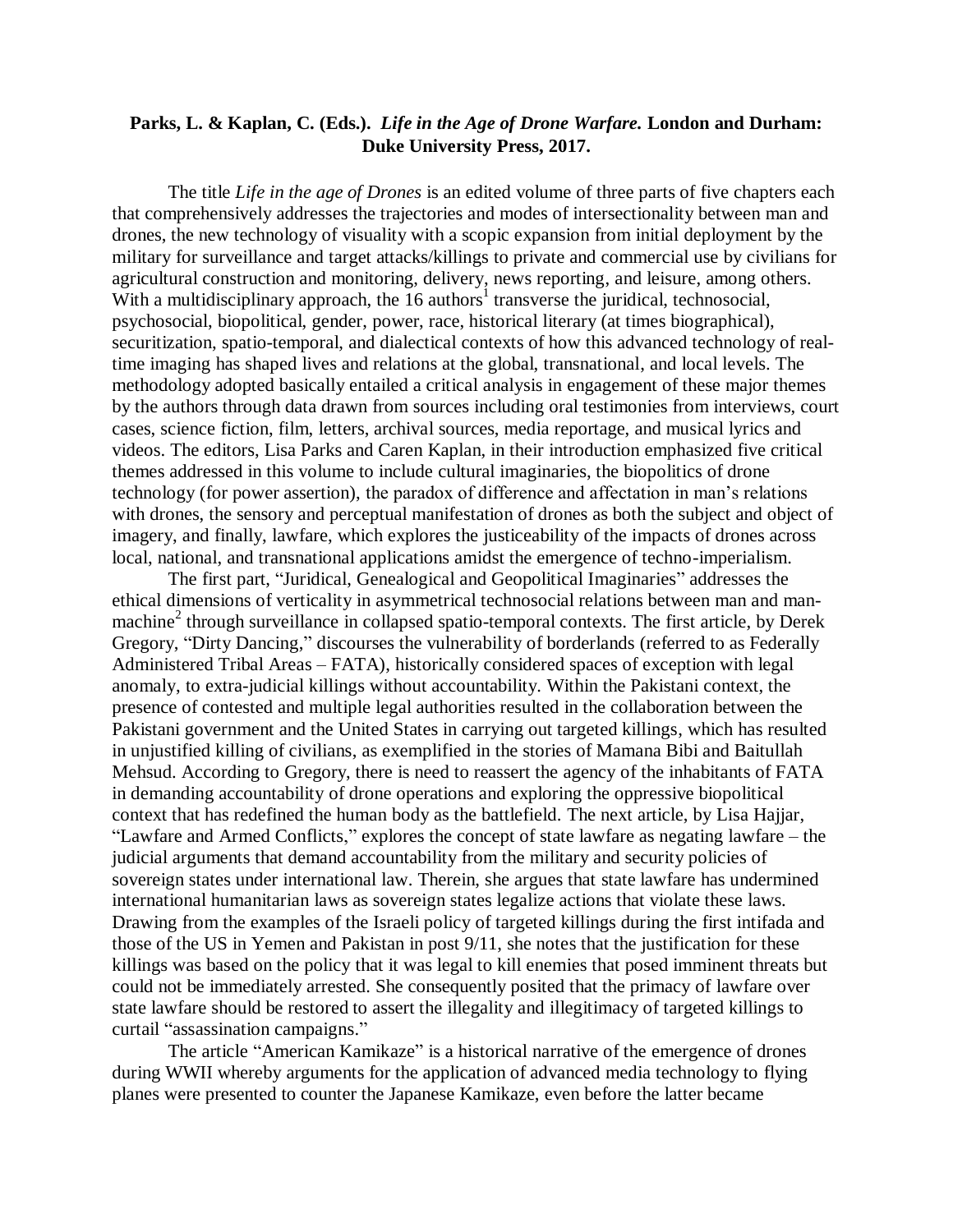### **Parks, L. & Kaplan, C. (Eds.).** *Life in the Age of Drone Warfare.* **London and Durham: Duke University Press, 2017.**

The title *Life in the age of Drones* is an edited volume of three parts of five chapters each that comprehensively addresses the trajectories and modes of intersectionality between man and drones, the new technology of visuality with a scopic expansion from initial deployment by the military for surveillance and target attacks/killings to private and commercial use by civilians for agricultural construction and monitoring, delivery, news reporting, and leisure, among others. With a multidisciplinary approach, the  $16$  authors<sup>1</sup> transverse the juridical, technosocial, psychosocial, biopolitical, gender, power, race, historical literary (at times biographical), securitization, spatio-temporal, and dialectical contexts of how this advanced technology of realtime imaging has shaped lives and relations at the global, transnational, and local levels. The methodology adopted basically entailed a critical analysis in engagement of these major themes by the authors through data drawn from sources including oral testimonies from interviews, court cases, science fiction, film, letters, archival sources, media reportage, and musical lyrics and videos. The editors, Lisa Parks and Caren Kaplan, in their introduction emphasized five critical themes addressed in this volume to include cultural imaginaries, the biopolitics of drone technology (for power assertion), the paradox of difference and affectation in man's relations with drones, the sensory and perceptual manifestation of drones as both the subject and object of imagery, and finally, lawfare, which explores the justiceability of the impacts of drones across local, national, and transnational applications amidst the emergence of techno-imperialism.

The first part, "Juridical, Genealogical and Geopolitical Imaginaries" addresses the ethical dimensions of verticality in asymmetrical technosocial relations between man and manmachine<sup>2</sup> through surveillance in collapsed spatio-temporal contexts. The first article, by Derek Gregory, "Dirty Dancing," discourses the vulnerability of borderlands (referred to as Federally Administered Tribal Areas – FATA), historically considered spaces of exception with legal anomaly, to extra-judicial killings without accountability. Within the Pakistani context, the presence of contested and multiple legal authorities resulted in the collaboration between the Pakistani government and the United States in carrying out targeted killings, which has resulted in unjustified killing of civilians, as exemplified in the stories of Mamana Bibi and Baitullah Mehsud. According to Gregory, there is need to reassert the agency of the inhabitants of FATA in demanding accountability of drone operations and exploring the oppressive biopolitical context that has redefined the human body as the battlefield. The next article, by Lisa Hajjar, "Lawfare and Armed Conflicts," explores the concept of state lawfare as negating lawfare – the judicial arguments that demand accountability from the military and security policies of sovereign states under international law. Therein, she argues that state lawfare has undermined international humanitarian laws as sovereign states legalize actions that violate these laws. Drawing from the examples of the Israeli policy of targeted killings during the first intifada and those of the US in Yemen and Pakistan in post 9/11, she notes that the justification for these killings was based on the policy that it was legal to kill enemies that posed imminent threats but could not be immediately arrested. She consequently posited that the primacy of lawfare over state lawfare should be restored to assert the illegality and illegitimacy of targeted killings to curtail "assassination campaigns."

The article "American Kamikaze" is a historical narrative of the emergence of drones during WWII whereby arguments for the application of advanced media technology to flying planes were presented to counter the Japanese Kamikaze, even before the latter became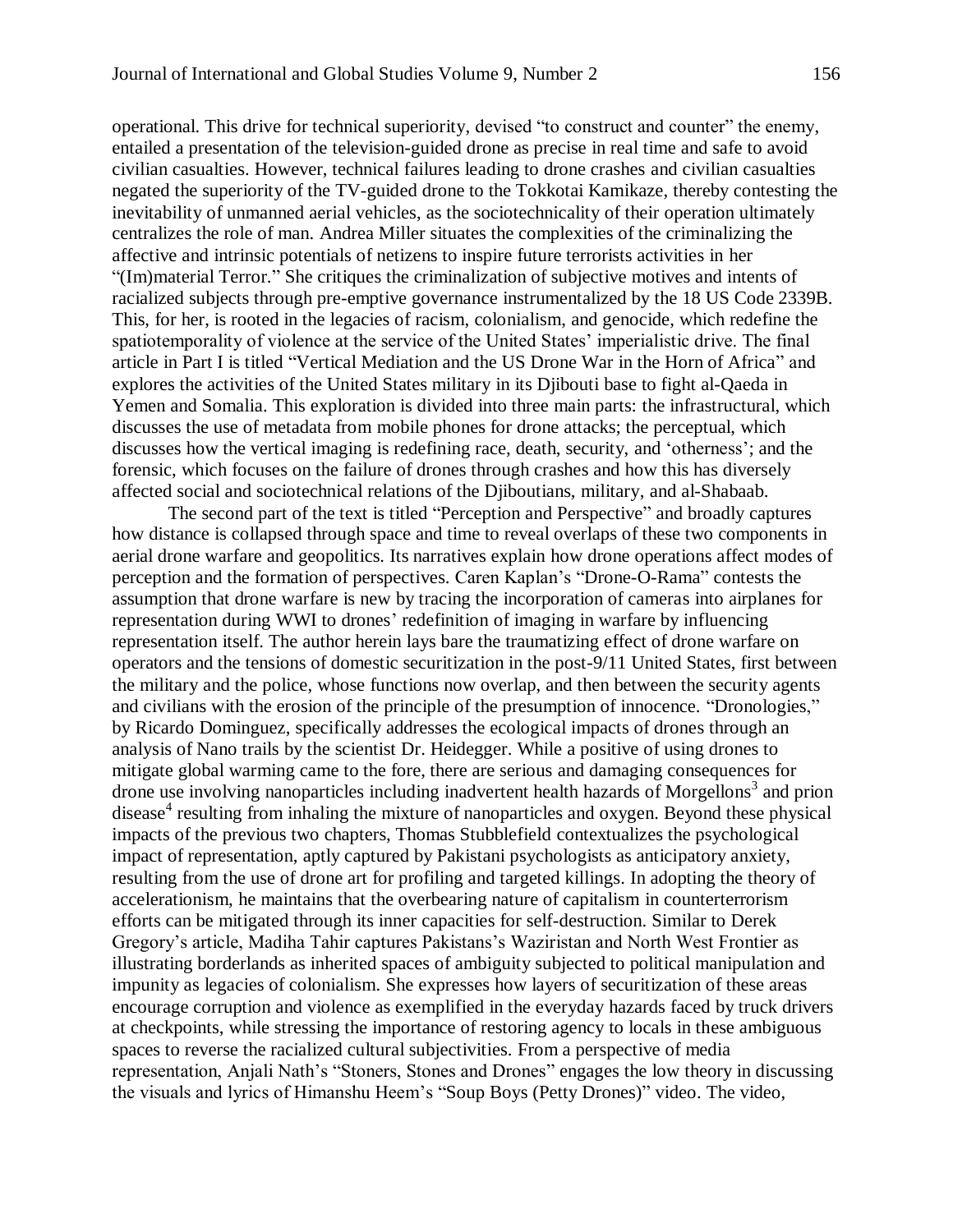operational. This drive for technical superiority, devised "to construct and counter" the enemy, entailed a presentation of the television-guided drone as precise in real time and safe to avoid civilian casualties. However, technical failures leading to drone crashes and civilian casualties negated the superiority of the TV-guided drone to the Tokkotai Kamikaze, thereby contesting the inevitability of unmanned aerial vehicles, as the sociotechnicality of their operation ultimately centralizes the role of man. Andrea Miller situates the complexities of the criminalizing the affective and intrinsic potentials of netizens to inspire future terrorists activities in her "(Im)material Terror." She critiques the criminalization of subjective motives and intents of racialized subjects through pre-emptive governance instrumentalized by the 18 US Code 2339B. This, for her, is rooted in the legacies of racism, colonialism, and genocide, which redefine the spatiotemporality of violence at the service of the United States' imperialistic drive. The final article in Part I is titled "Vertical Mediation and the US Drone War in the Horn of Africa" and explores the activities of the United States military in its Djibouti base to fight al-Qaeda in Yemen and Somalia. This exploration is divided into three main parts: the infrastructural, which discusses the use of metadata from mobile phones for drone attacks; the perceptual, which discusses how the vertical imaging is redefining race, death, security, and 'otherness'; and the forensic, which focuses on the failure of drones through crashes and how this has diversely affected social and sociotechnical relations of the Djiboutians, military, and al-Shabaab.

The second part of the text is titled "Perception and Perspective" and broadly captures how distance is collapsed through space and time to reveal overlaps of these two components in aerial drone warfare and geopolitics. Its narratives explain how drone operations affect modes of perception and the formation of perspectives. Caren Kaplan's "Drone-O-Rama" contests the assumption that drone warfare is new by tracing the incorporation of cameras into airplanes for representation during WWI to drones' redefinition of imaging in warfare by influencing representation itself. The author herein lays bare the traumatizing effect of drone warfare on operators and the tensions of domestic securitization in the post-9/11 United States, first between the military and the police, whose functions now overlap, and then between the security agents and civilians with the erosion of the principle of the presumption of innocence. "Dronologies," by Ricardo Dominguez, specifically addresses the ecological impacts of drones through an analysis of Nano trails by the scientist Dr. Heidegger. While a positive of using drones to mitigate global warming came to the fore, there are serious and damaging consequences for drone use involving nanoparticles including inadvertent health hazards of Morgellons<sup>3</sup> and prion disease<sup>4</sup> resulting from inhaling the mixture of nanoparticles and oxygen. Beyond these physical impacts of the previous two chapters, Thomas Stubblefield contextualizes the psychological impact of representation, aptly captured by Pakistani psychologists as anticipatory anxiety, resulting from the use of drone art for profiling and targeted killings. In adopting the theory of accelerationism, he maintains that the overbearing nature of capitalism in counterterrorism efforts can be mitigated through its inner capacities for self-destruction. Similar to Derek Gregory's article, Madiha Tahir captures Pakistans's Waziristan and North West Frontier as illustrating borderlands as inherited spaces of ambiguity subjected to political manipulation and impunity as legacies of colonialism. She expresses how layers of securitization of these areas encourage corruption and violence as exemplified in the everyday hazards faced by truck drivers at checkpoints, while stressing the importance of restoring agency to locals in these ambiguous spaces to reverse the racialized cultural subjectivities. From a perspective of media representation, Anjali Nath's "Stoners, Stones and Drones" engages the low theory in discussing the visuals and lyrics of Himanshu Heem's "Soup Boys (Petty Drones)" video. The video,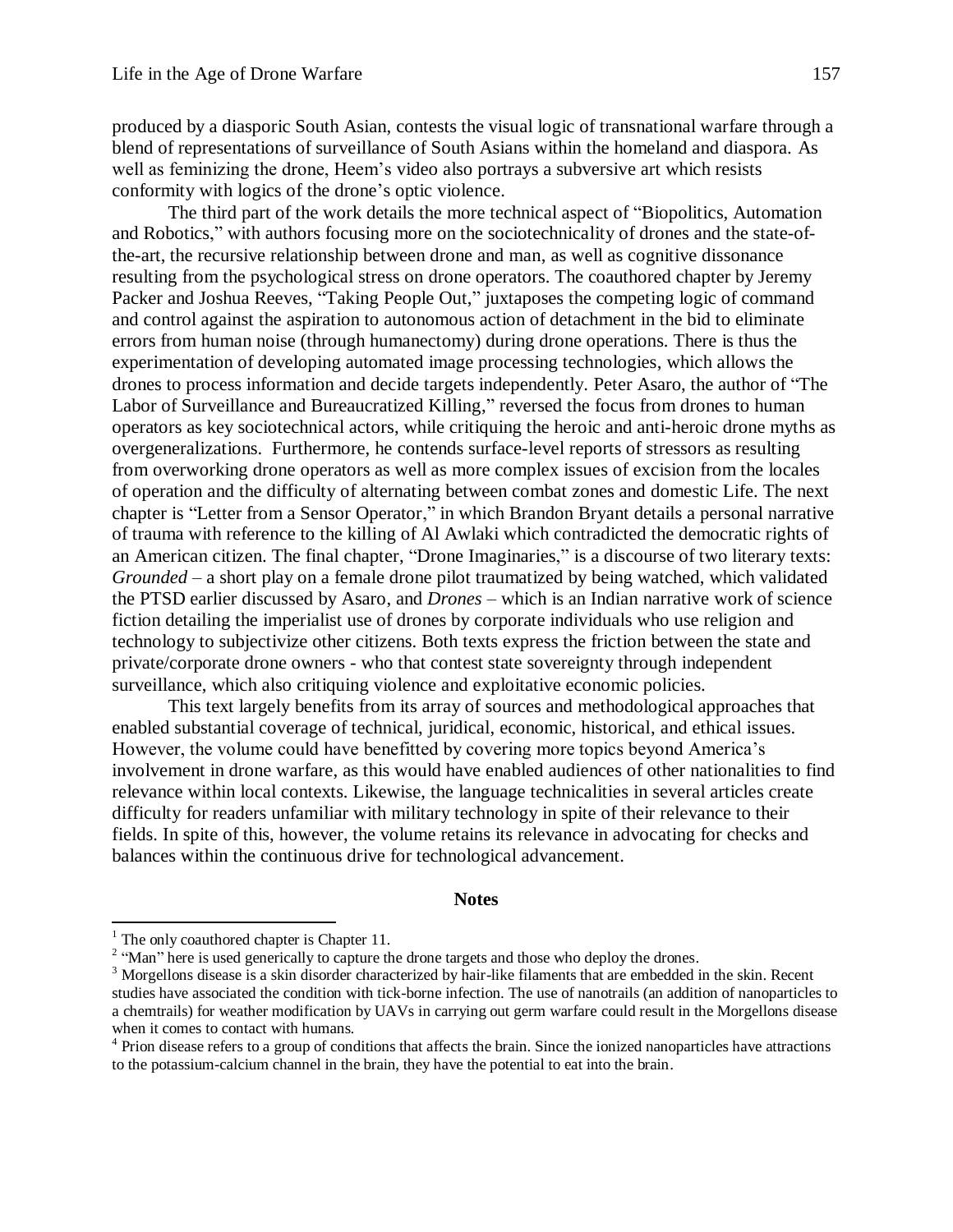produced by a diasporic South Asian, contests the visual logic of transnational warfare through a blend of representations of surveillance of South Asians within the homeland and diaspora. As well as feminizing the drone, Heem's video also portrays a subversive art which resists conformity with logics of the drone's optic violence.

The third part of the work details the more technical aspect of "Biopolitics, Automation and Robotics," with authors focusing more on the sociotechnicality of drones and the state-ofthe-art, the recursive relationship between drone and man, as well as cognitive dissonance resulting from the psychological stress on drone operators. The coauthored chapter by Jeremy Packer and Joshua Reeves, "Taking People Out," juxtaposes the competing logic of command and control against the aspiration to autonomous action of detachment in the bid to eliminate errors from human noise (through humanectomy) during drone operations. There is thus the experimentation of developing automated image processing technologies, which allows the drones to process information and decide targets independently. Peter Asaro, the author of "The Labor of Surveillance and Bureaucratized Killing," reversed the focus from drones to human operators as key sociotechnical actors, while critiquing the heroic and anti-heroic drone myths as overgeneralizations. Furthermore, he contends surface-level reports of stressors as resulting from overworking drone operators as well as more complex issues of excision from the locales of operation and the difficulty of alternating between combat zones and domestic Life. The next chapter is "Letter from a Sensor Operator," in which Brandon Bryant details a personal narrative of trauma with reference to the killing of Al Awlaki which contradicted the democratic rights of an American citizen. The final chapter, "Drone Imaginaries," is a discourse of two literary texts: *Grounded –* a short play on a female drone pilot traumatized by being watched, which validated the PTSD earlier discussed by Asaro, and *Drones* – which is an Indian narrative work of science fiction detailing the imperialist use of drones by corporate individuals who use religion and technology to subjectivize other citizens. Both texts express the friction between the state and private/corporate drone owners - who that contest state sovereignty through independent surveillance, which also critiquing violence and exploitative economic policies.

This text largely benefits from its array of sources and methodological approaches that enabled substantial coverage of technical, juridical, economic, historical, and ethical issues. However, the volume could have benefitted by covering more topics beyond America's involvement in drone warfare, as this would have enabled audiences of other nationalities to find relevance within local contexts. Likewise, the language technicalities in several articles create difficulty for readers unfamiliar with military technology in spite of their relevance to their fields. In spite of this, however, the volume retains its relevance in advocating for checks and balances within the continuous drive for technological advancement.

#### **Notes**

 $\overline{a}$ 

 $<sup>1</sup>$  The only coauthored chapter is Chapter 11.</sup>

<sup>&</sup>lt;sup>2</sup> "Man" here is used generically to capture the drone targets and those who deploy the drones.

<sup>&</sup>lt;sup>3</sup> Morgellons disease is a skin disorder characterized by hair-like filaments that are embedded in the skin. Recent studies have associated the condition with tick-borne infection. The use of nanotrails (an addition of nanoparticles to a chemtrails) for weather modification by UAVs in carrying out germ warfare could result in the Morgellons disease when it comes to contact with humans.

<sup>&</sup>lt;sup>4</sup> Prion disease refers to a group of conditions that affects the brain. Since the ionized nanoparticles have attractions to the potassium-calcium channel in the brain, they have the potential to eat into the brain.